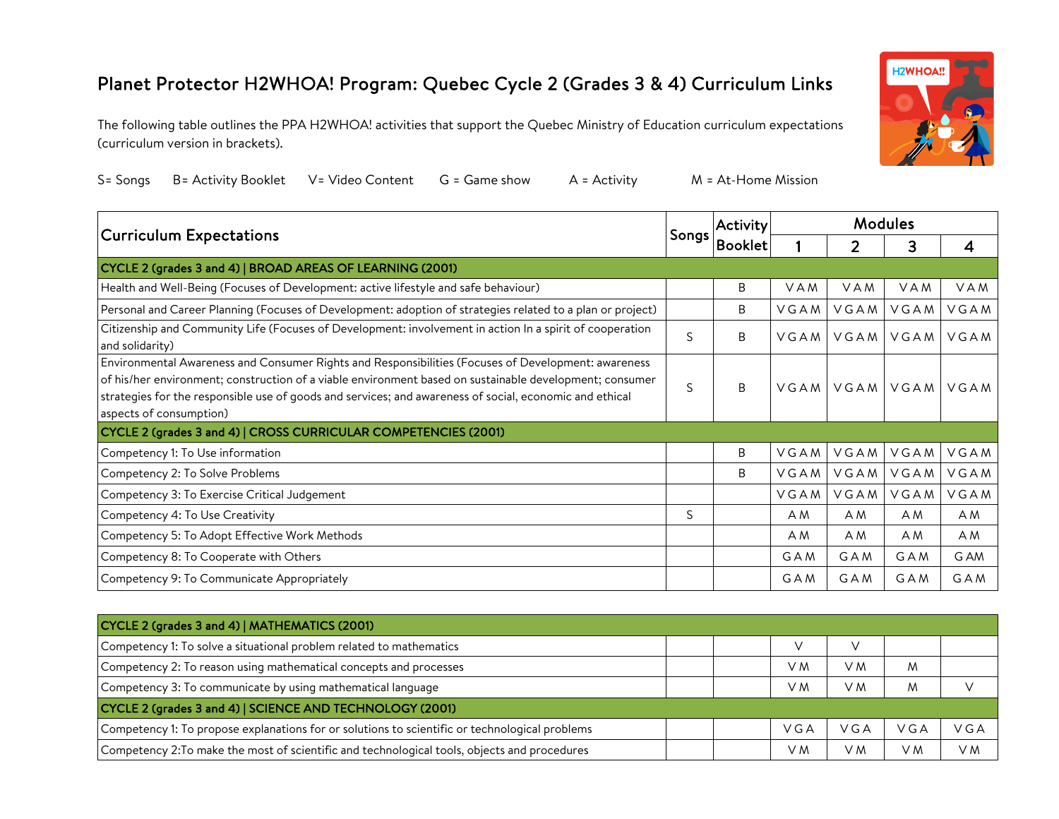## Planet Protector H2WHOA! Program: Quebec Cycle 2 (Grades 3 & 4) Curriculum Links

The following table outlines the PPA H2WHOA! activities that support the Quebec Ministry of Education curriculum expectations (curriculum version in brackets).



|  | S= Songs B= Activity Booklet V= Video Content G = Game show A = Activity |  |  |  | M = At-Home Mission |
|--|--------------------------------------------------------------------------|--|--|--|---------------------|
|--|--------------------------------------------------------------------------|--|--|--|---------------------|

| <b>Curriculum Expectations</b>                                                                                                                                                                                                                                                                                                                       |   | Activity<br>Songs | <b>Modules</b> |      |                    |            |
|------------------------------------------------------------------------------------------------------------------------------------------------------------------------------------------------------------------------------------------------------------------------------------------------------------------------------------------------------|---|-------------------|----------------|------|--------------------|------------|
|                                                                                                                                                                                                                                                                                                                                                      |   | <b>Booklet</b>    |                |      | 3                  | 4          |
| CYCLE 2 (grades 3 and 4)   BROAD AREAS OF LEARNING (2001)                                                                                                                                                                                                                                                                                            |   |                   |                |      |                    |            |
| Health and Well-Being (Focuses of Development: active lifestyle and safe behaviour)                                                                                                                                                                                                                                                                  |   | B                 | <b>VAM</b>     | VAM  | VAM                | VAM        |
| Personal and Career Planning (Focuses of Development: adoption of strategies related to a plan or project)                                                                                                                                                                                                                                           |   | B                 | VGAM           | VGAM | VGAM               | VGAM       |
| Citizenship and Community Life (Focuses of Development: involvement in action In a spirit of cooperation<br>and solidarity)                                                                                                                                                                                                                          | S | B                 | VGAM           |      | VGAMIVGAMI         | VGAM       |
| Environmental Awareness and Consumer Rights and Responsibilities (Focuses of Development: awareness<br>of his/her environment; construction of a viable environment based on sustainable development; consumer<br>strategies for the responsible use of goods and services; and awareness of social, economic and ethical<br>aspects of consumption) | S | B                 |                |      | VGAM   VGAM   VGAM | VGAM       |
| CYCLE 2 (grades 3 and 4)   CROSS CURRICULAR COMPETENCIES (2001)                                                                                                                                                                                                                                                                                      |   |                   |                |      |                    |            |
| Competency 1: To Use information                                                                                                                                                                                                                                                                                                                     |   | B                 | VGAM           | VGAM | VGAM               | VGAM       |
| Competency 2: To Solve Problems                                                                                                                                                                                                                                                                                                                      |   | B                 | VGAM           | VGAM | VGAM               | VGAM       |
| Competency 3: To Exercise Critical Judgement                                                                                                                                                                                                                                                                                                         |   |                   | VGAM           | VGAM | VGAM               | VGAM       |
| Competency 4: To Use Creativity                                                                                                                                                                                                                                                                                                                      | S |                   | A M            | A M  | A M                | A M        |
| Competency 5: To Adopt Effective Work Methods                                                                                                                                                                                                                                                                                                        |   |                   | A M            | A M  | A M                | A M        |
| Competency 8: To Cooperate with Others                                                                                                                                                                                                                                                                                                               |   |                   | GAM            | GAM  | <b>GAM</b>         | G AM       |
| Competency 9: To Communicate Appropriately                                                                                                                                                                                                                                                                                                           |   |                   | <b>GAM</b>     | GAM  | GAM                | <b>GAM</b> |

| CYCLE 2 (grades 3 and 4)   MATHEMATICS (2001)                                                  |  |  |     |     |     |     |  |  |
|------------------------------------------------------------------------------------------------|--|--|-----|-----|-----|-----|--|--|
| Competency 1: To solve a situational problem related to mathematics                            |  |  |     |     |     |     |  |  |
| Competency 2: To reason using mathematical concepts and processes                              |  |  | VМ  | V M | M   |     |  |  |
| Competency 3: To communicate by using mathematical language                                    |  |  | V M | VM. | M   |     |  |  |
| CYCLE 2 (grades 3 and 4)   SCIENCE AND TECHNOLOGY (2001)                                       |  |  |     |     |     |     |  |  |
| Competency 1: To propose explanations for or solutions to scientific or technological problems |  |  | VGA | VGA | VGA | VGA |  |  |
| Competency 2: To make the most of scientific and technological tools, objects and procedures   |  |  | VМ  | V M | V M | V M |  |  |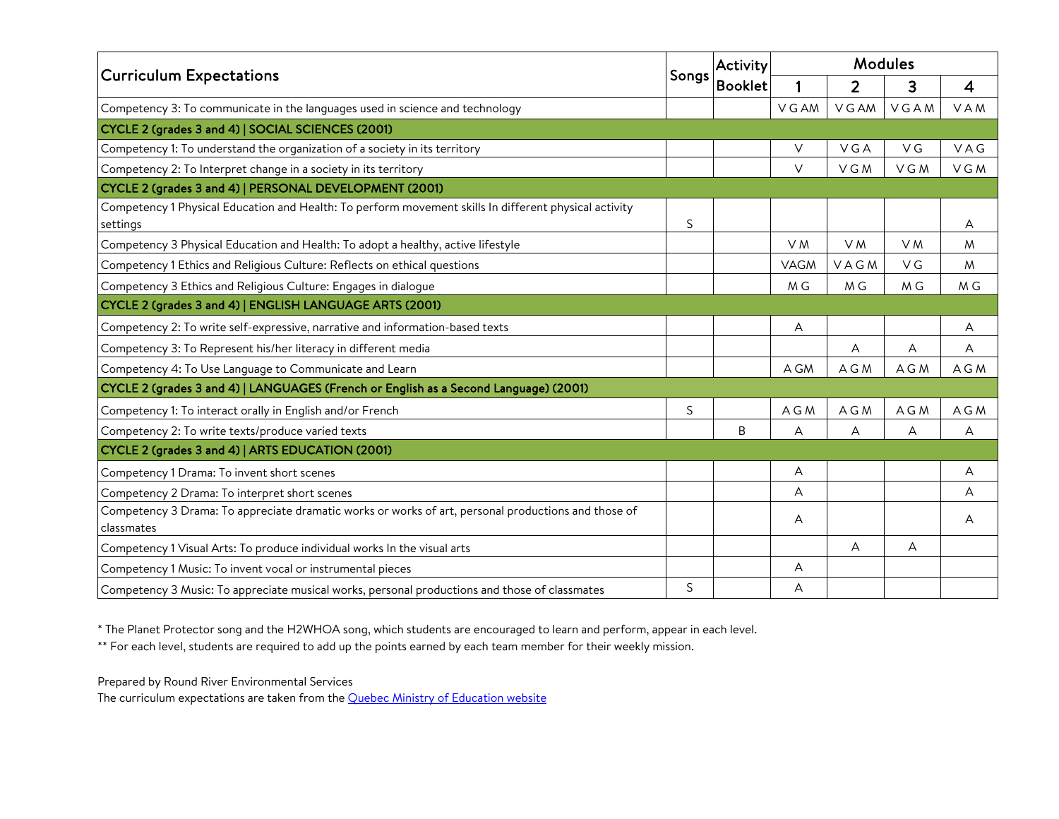|                                                                                                                   |       | Activity       | <b>Modules</b> |                |          |       |
|-------------------------------------------------------------------------------------------------------------------|-------|----------------|----------------|----------------|----------|-------|
| <b>Curriculum Expectations</b>                                                                                    | Songs | <b>Booklet</b> | 1              | $\overline{2}$ | 3        | 4     |
| Competency 3: To communicate in the languages used in science and technology                                      |       |                | V G AM         | V G AM         | VGAM     | VAM   |
| CYCLE 2 (grades 3 and 4)   SOCIAL SCIENCES (2001)                                                                 |       |                |                |                |          |       |
| Competency 1: To understand the organization of a society in its territory                                        |       |                | V              | VGA            | $\vee$ G | VAG   |
| Competency 2: To Interpret change in a society in its territory                                                   |       |                | $\vee$         | VGM            | VGM      | VGM   |
| CYCLE 2 (grades 3 and 4)   PERSONAL DEVELOPMENT (2001)                                                            |       |                |                |                |          |       |
| Competency 1 Physical Education and Health: To perform movement skills In different physical activity<br>settings | S     |                |                |                |          | A     |
| Competency 3 Physical Education and Health: To adopt a healthy, active lifestyle                                  |       |                | V <sub>M</sub> | V <sub>M</sub> | V M      | M     |
| Competency 1 Ethics and Religious Culture: Reflects on ethical questions                                          |       |                | VAGM           | VAGM           | V G      | M     |
| Competency 3 Ethics and Religious Culture: Engages in dialogue                                                    |       |                | M G            | M G            | M G      | M G   |
| CYCLE 2 (grades 3 and 4)   ENGLISH LANGUAGE ARTS (2001)                                                           |       |                |                |                |          |       |
| Competency 2: To write self-expressive, narrative and information-based texts                                     |       |                | А              |                |          | А     |
| Competency 3: To Represent his/her literacy in different media                                                    |       |                |                | А              | Α        | А     |
| Competency 4: To Use Language to Communicate and Learn                                                            |       |                | A GM           | A G M          | A G M    | A G M |
| CYCLE 2 (grades 3 and 4)   LANGUAGES (French or English as a Second Language) (2001)                              |       |                |                |                |          |       |
| Competency 1: To interact orally in English and/or French                                                         | S     |                | A G M          | A G M          | A G M    | A G M |
| Competency 2: To write texts/produce varied texts                                                                 |       | B              | А              | А              | А        | A     |
| CYCLE 2 (grades 3 and 4)   ARTS EDUCATION (2001)                                                                  |       |                |                |                |          |       |
| Competency 1 Drama: To invent short scenes                                                                        |       |                | A              |                |          | А     |
| Competency 2 Drama: To interpret short scenes                                                                     |       |                | A              |                |          | A     |
| Competency 3 Drama: To appreciate dramatic works or works of art, personal productions and those of<br>classmates |       |                | A              |                |          | A     |
| Competency 1 Visual Arts: To produce individual works In the visual arts                                          |       |                |                | A              | А        |       |
| Competency 1 Music: To invent vocal or instrumental pieces                                                        |       |                | Α              |                |          |       |
| Competency 3 Music: To appreciate musical works, personal productions and those of classmates                     | S     |                | Α              |                |          |       |

\* The Planet Protector song and the H2WHOA song, which students are encouraged to learn and perform, appear in each level.

\*\* For each level, students are required to add up the points earned by each team member for their weekly mission.

Prepared by Round River Environmental Services

The curriculum expectations are taken from the **Quebec Ministry of Education website**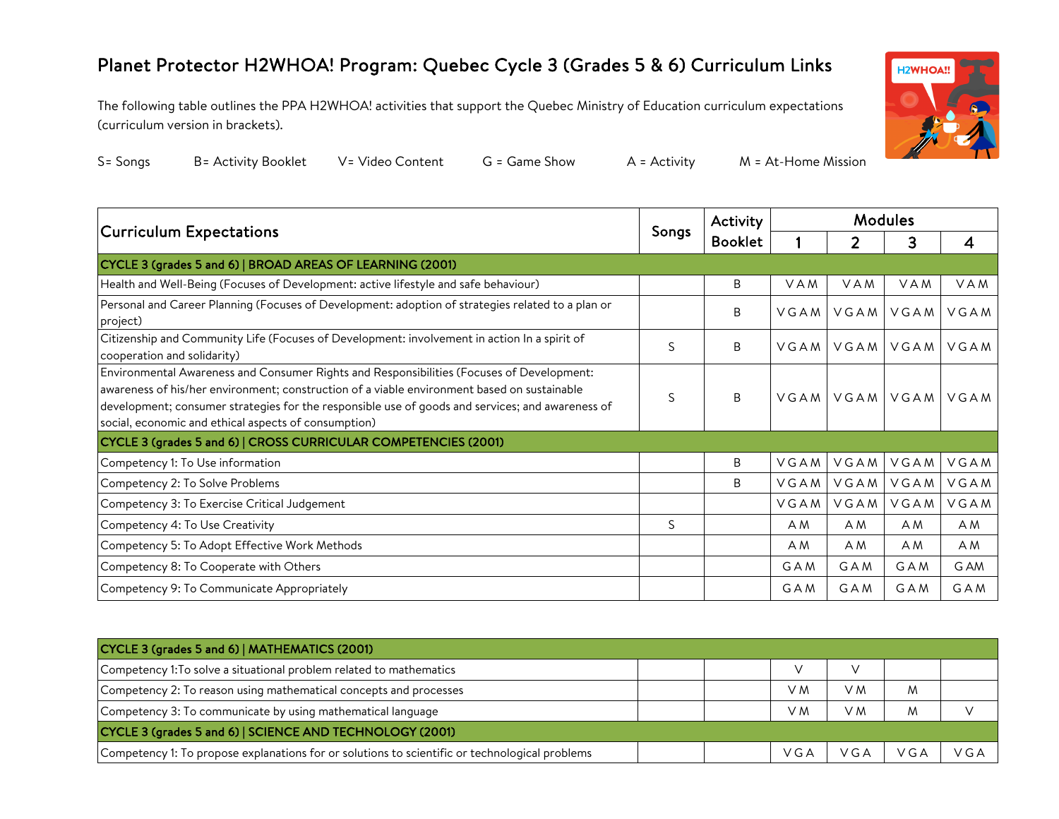## Planet Protector H2WHOA! Program: Quebec Cycle 3 (Grades 5 & 6) Curriculum Links

The following table outlines the PPA H2WHOA! activities that support the Quebec Ministry of Education curriculum expectations (curriculum version in brackets).



| S= Sonas | B: |
|----------|----|
|          |    |

= Activity Booklet V= Video Content G = Game Show A = Activity M = At-Home Mission

| <b>Curriculum Expectations</b>                                                                                                                                                                                                                                                                                                                       |   | Activity       | <b>Modules</b> |                |                |            |
|------------------------------------------------------------------------------------------------------------------------------------------------------------------------------------------------------------------------------------------------------------------------------------------------------------------------------------------------------|---|----------------|----------------|----------------|----------------|------------|
|                                                                                                                                                                                                                                                                                                                                                      |   | <b>Booklet</b> |                | $\overline{2}$ | 3              | 4          |
| CYCLE 3 (grades 5 and 6)   BROAD AREAS OF LEARNING (2001)                                                                                                                                                                                                                                                                                            |   |                |                |                |                |            |
| Health and Well-Being (Focuses of Development: active lifestyle and safe behaviour)                                                                                                                                                                                                                                                                  |   | B              | VAM            | VAM            | VAM            | VAM        |
| Personal and Career Planning (Focuses of Development: adoption of strategies related to a plan or<br>project)                                                                                                                                                                                                                                        |   | B              | VGAMI          | VGAM           | VGAM           | VGAM       |
| Citizenship and Community Life (Focuses of Development: involvement in action In a spirit of<br>cooperation and solidarity)                                                                                                                                                                                                                          | S | B.             | VGAMI          |                | VGAM VGAM VGAM |            |
| Environmental Awareness and Consumer Rights and Responsibilities (Focuses of Development:<br>awareness of his/her environment; construction of a viable environment based on sustainable<br>development; consumer strategies for the responsible use of goods and services; and awareness of<br>social, economic and ethical aspects of consumption) | S | <sub>B</sub>   |                | VGAM VGAM VGAM |                | VGAM       |
| CYCLE 3 (grades 5 and 6)   CROSS CURRICULAR COMPETENCIES (2001)                                                                                                                                                                                                                                                                                      |   |                |                |                |                |            |
| Competency 1: To Use information                                                                                                                                                                                                                                                                                                                     |   | B              | VGAM           | VGAM           | VGAM           | VGAM       |
| Competency 2: To Solve Problems                                                                                                                                                                                                                                                                                                                      |   | B              | VGAM           | VGAM           | VGAM VGAM      |            |
| Competency 3: To Exercise Critical Judgement                                                                                                                                                                                                                                                                                                         |   |                | VGAM           | VGAM           | VGAM           | VGAM       |
| Competency 4: To Use Creativity                                                                                                                                                                                                                                                                                                                      | S |                | A M            | A M            | A M            | A M        |
| Competency 5: To Adopt Effective Work Methods                                                                                                                                                                                                                                                                                                        |   |                | A M            | A M            | A M            | A M        |
| Competency 8: To Cooperate with Others                                                                                                                                                                                                                                                                                                               |   |                | GAM            | <b>GAM</b>     | <b>GAM</b>     | G AM       |
| Competency 9: To Communicate Appropriately                                                                                                                                                                                                                                                                                                           |   |                | <b>GAM</b>     | GAM            | <b>GAM</b>     | <b>GAM</b> |

| CYCLE 3 (grades 5 and 6)   MATHEMATICS (2001)                                                  |  |  |     |       |       |     |  |  |  |
|------------------------------------------------------------------------------------------------|--|--|-----|-------|-------|-----|--|--|--|
| Competency 1: To solve a situational problem related to mathematics                            |  |  |     |       |       |     |  |  |  |
| Competency 2: To reason using mathematical concepts and processes                              |  |  | V M | V M   | M     |     |  |  |  |
| Competency 3: To communicate by using mathematical language                                    |  |  | V M | V M   | M     |     |  |  |  |
| CYCLE 3 (grades 5 and 6)   SCIENCE AND TECHNOLOGY (2001)                                       |  |  |     |       |       |     |  |  |  |
| Competency 1: To propose explanations for or solutions to scientific or technological problems |  |  | VGA | V G A | V G A | VGA |  |  |  |